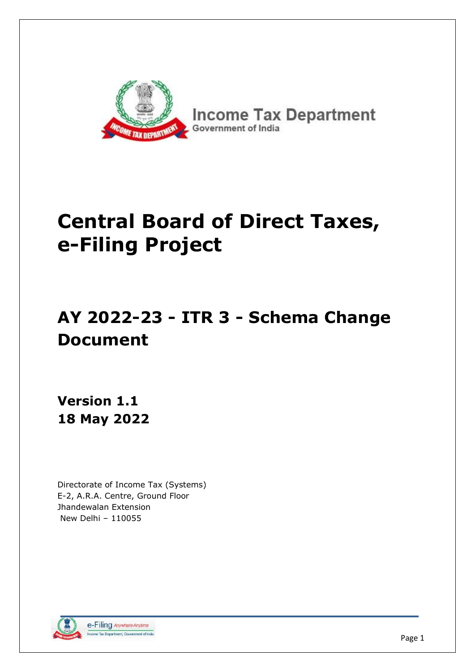

# **Central Board of Direct Taxes, e-Filing Project**

## **AY 2022-23 - ITR 3 - Schema Change Document**

**Version 1.1 18 May 2022**

Directorate of Income Tax (Systems) E-2, A.R.A. Centre, Ground Floor Jhandewalan Extension New Delhi – 110055

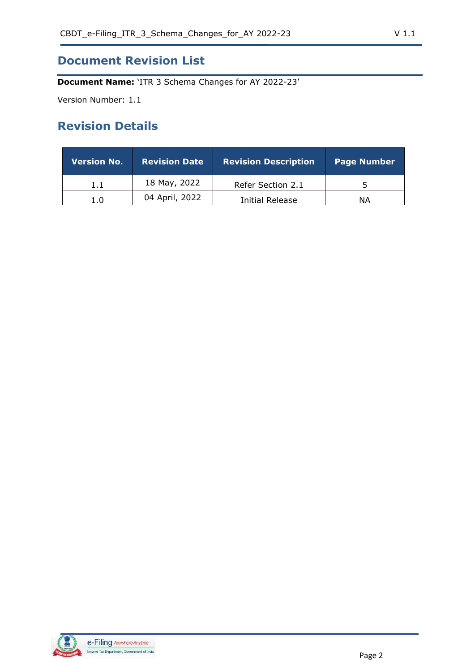## **Document Revision List**

**Document Name:** 'ITR 3 Schema Changes for AY 2022-23'

Version Number: 1.1

## **Revision Details**

| <b>Version No.</b> | <b>Revision Date</b> | <b>Revision Description</b> | <b>Page Number</b> |
|--------------------|----------------------|-----------------------------|--------------------|
| 1.1                | 18 May, 2022         | Refer Section 2.1           |                    |
| 1.0                | 04 April, 2022       | Initial Release             | ΝA                 |

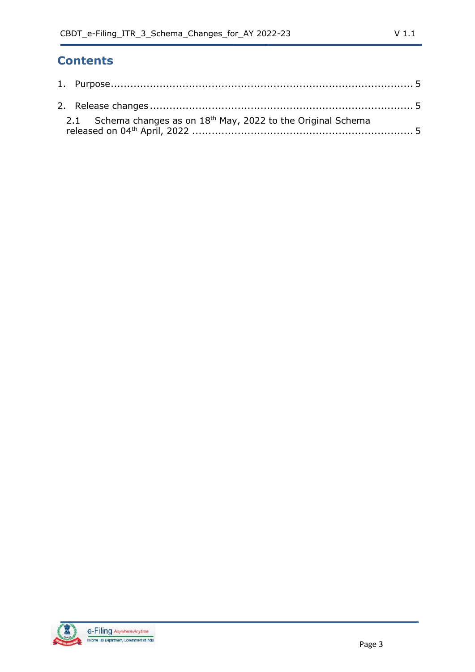## **Contents**

| 2.1 Schema changes as on $18th$ May, 2022 to the Original Schema |  |
|------------------------------------------------------------------|--|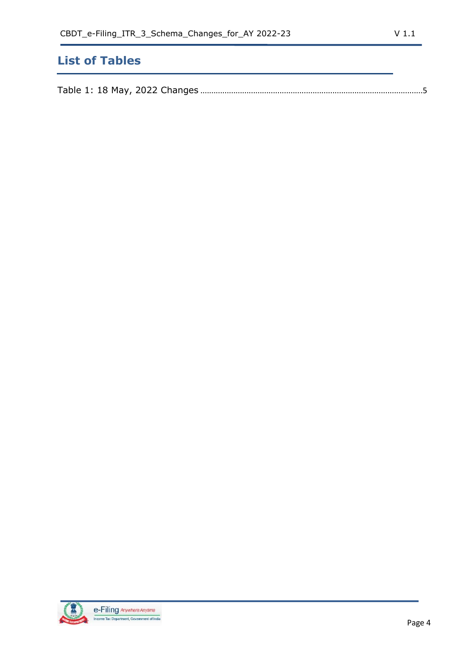## **List of Tables**

|--|--|